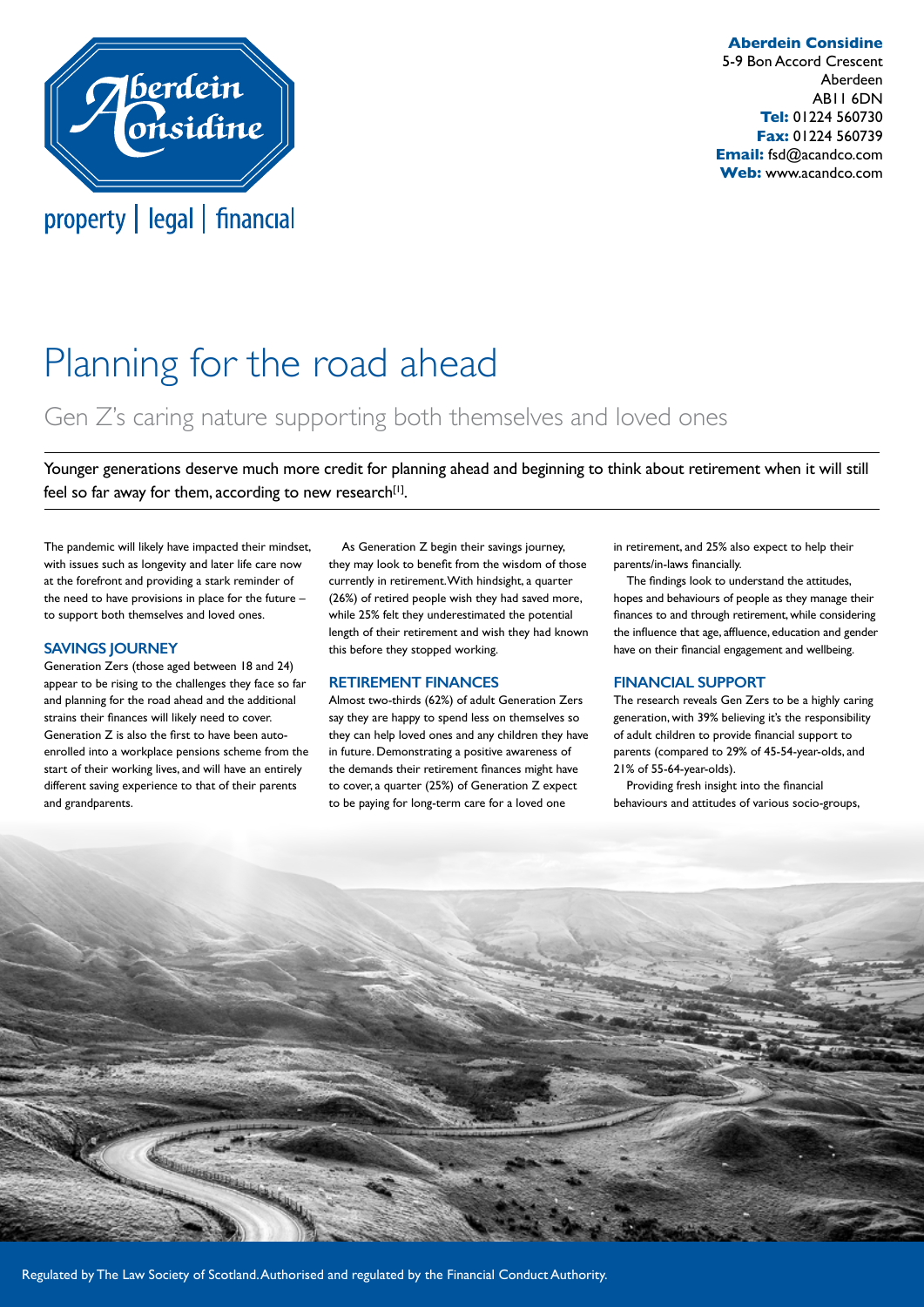

**Aberdein Considine** 5-9 Bon Accord Crescent Aberdeen AB11 6DN **Tel:** 01224 560730 **Fax:** 01224 560739 **Email:** fsd@acandco.com **Web:** www.acandco.com

# Planning for the road ahead

# Gen Z's caring nature supporting both themselves and loved ones

Younger generations deserve much more credit for planning ahead and beginning to think about retirement when it will still feel so far away for them, according to new research $[1]$ .

The pandemic will likely have impacted their mindset, with issues such as longevity and later life care now at the forefront and providing a stark reminder of the need to have provisions in place for the future – to support both themselves and loved ones.

#### **SAVINGS JOURNEY**

Generation Zers (those aged between 18 and 24) appear to be rising to the challenges they face so far and planning for the road ahead and the additional strains their finances will likely need to cover. Generation Z is also the first to have been autoenrolled into a workplace pensions scheme from the start of their working lives, and will have an entirely different saving experience to that of their parents and grandparents.

As Generation Z begin their savings journey, they may look to benefit from the wisdom of those currently in retirement. With hindsight, a quarter (26%) of retired people wish they had saved more, while 25% felt they underestimated the potential length of their retirement and wish they had known this before they stopped working.

#### **RETIREMENT FINANCES**

Almost two-thirds (62%) of adult Generation Zers say they are happy to spend less on themselves so they can help loved ones and any children they have in future. Demonstrating a positive awareness of the demands their retirement finances might have to cover, a quarter (25%) of Generation Z expect to be paying for long-term care for a loved one

in retirement, and 25% also expect to help their parents/in-laws financially.

The findings look to understand the attitudes, hopes and behaviours of people as they manage their finances to and through retirement, while considering the influence that age, affluence, education and gender have on their financial engagement and wellbeing.

#### **FINANCIAL SUPPORT**

The research reveals Gen Zers to be a highly caring generation, with 39% believing it's the responsibility of adult children to provide financial support to parents (compared to 29% of 45-54-year-olds, and 21% of 55-64-year-olds).

Providing fresh insight into the financial behaviours and attitudes of various socio-groups,